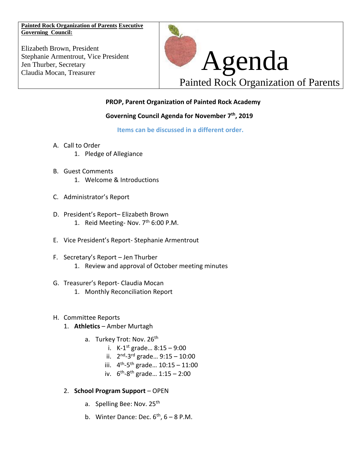**Painted Rock Organization of Parents Executive Governing Council:**

Elizabeth Brown, President Stephanie Armentrout, Vice President Jen Thurber, Secretary



## **PROP, Parent Organization of Painted Rock Academy**

## **Governing Council Agenda for November 7th , 2019**

**Items can be discussed in a different order.** 

- A. Call to Order
	- 1. Pledge of Allegiance
- B. Guest Comments 1. Welcome & Introductions
- C. Administrator's Report
- D. President's Report– Elizabeth Brown 1. Reid Meeting- Nov.  $7<sup>th</sup>$  6:00 P.M.
- E. Vice President's Report- Stephanie Armentrout
- F. Secretary's Report Jen Thurber 1. Review and approval of October meeting minutes
- G. Treasurer's Report- Claudia Mocan
	- 1. Monthly Reconciliation Report
- H. Committee Reports
	- 1. **Athletics** Amber Murtagh
		- a. Turkey Trot: Nov. 26<sup>th</sup>
			- i. K-1 st grade… 8:15 9:00
			- ii. 2<sup>nd</sup>-3<sup>rd</sup> grade... 9:15 10:00
			- iii. 4<sup>th</sup>-5<sup>th</sup> grade... 10:15 11:00
			- iv. 6<sup>th</sup>-8<sup>th</sup> grade... 1:15 2:00
	- 2. **School Program Support** OPEN
		- a. Spelling Bee: Nov. 25<sup>th</sup>
		- b. Winter Dance: Dec.  $6<sup>th</sup>$ ,  $6-8$  P.M.